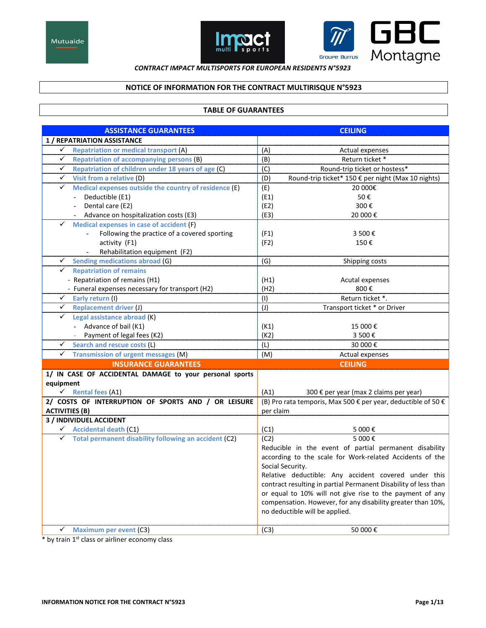



## **CONTRACT IMPACT MULTISPORTS FOR EUROPEAN RESIDENTS N°5923**

# NOTICE OF INFORMATION FOR THE CONTRACT MULTIRISQUE N°5923

## **TABLE OF GUARANTEES**

| <b>ASSISTANCE GUARANTEES</b>                                          | <b>CEILING</b>                                                  |
|-----------------------------------------------------------------------|-----------------------------------------------------------------|
| <b>1 / REPATRIATION ASSISTANCE</b>                                    |                                                                 |
| <b>Repatriation or medical transport (A)</b><br>$\checkmark$          | (A)<br>Actual expenses                                          |
| $\checkmark$<br><b>Repatriation of accompanying persons (B)</b>       | (B)<br>Return ticket *                                          |
| $\checkmark$<br>Repatriation of children under 18 years of age (C)    | (C)<br>Round-trip ticket or hostess*                            |
| $\checkmark$<br>Visit from a relative (D)                             | (D)<br>Round-trip ticket* 150 € per night (Max 10 nights)       |
| Medical expenses outside the country of residence (E)<br>$\checkmark$ | (E)<br>20 000€                                                  |
| - Deductible (E1)                                                     | (E1)<br>50€                                                     |
| Dental care (E2)                                                      | (E2)<br>300€                                                    |
| Advance on hospitalization costs (E3)                                 | (E3)<br>20 000€                                                 |
| Medical expenses in case of accident (F)<br>✓                         |                                                                 |
| Following the practice of a covered sporting<br>$\blacksquare$        | (F1)<br>3 500€                                                  |
| activity (F1)                                                         | (F2)<br>150€                                                    |
| Rehabilitation equipment (F2)                                         |                                                                 |
| <b>Sending medications abroad (G)</b><br>✓                            | (G)<br>Shipping costs                                           |
| $\checkmark$<br><b>Repatriation of remains</b>                        |                                                                 |
| - Repatriation of remains (H1)                                        | (H1)<br>Acutal expenses                                         |
| - Funeral expenses necessary for transport (H2)                       | (H2)<br>800€                                                    |
| ✓<br>Early return (I)                                                 | (1)<br>Return ticket *.                                         |
| $\checkmark$<br><b>Replacement driver (J)</b>                         | $(\mathsf{U})$<br>Transport ticket * or Driver                  |
| Legal assistance abroad (K)<br>✓                                      |                                                                 |
| - Advance of bail (K1)                                                | (K1)<br>15 000€                                                 |
| Payment of legal fees (K2)<br>$\omega_{\rm{eff}}$                     | (K2)<br>3 500€                                                  |
| Search and rescue costs (L)<br>✓                                      | 30 000€<br>(L)                                                  |
| ✓<br><b>Transmission of urgent messages (M)</b>                       | (M)<br>Actual expenses                                          |
| <b>INSURANCE GUARANTEES</b>                                           | <b>CEILING</b>                                                  |
| 1/ IN CASE OF ACCIDENTAL DAMAGE to your personal sports               |                                                                 |
| equipment                                                             |                                                                 |
| $\checkmark$ Rental fees (A1)                                         | (A1)<br>300 € per year (max 2 claims per year)                  |
| 2/ COSTS OF INTERRUPTION OF SPORTS AND / OR LEISURE                   | (B) Pro rata temporis, Max 500 € per year, deductible of 50 €   |
| <b>ACTIVITIES (B)</b>                                                 | per claim                                                       |
| <b>3 / INDIVIDUEL ACCIDENT</b>                                        |                                                                 |
| $\checkmark$ Accidental death (C1)                                    | (C1)<br>5 000€                                                  |
| $\checkmark$ Total permanent disability following an accident (C2)    | 5 000€<br>(C2)                                                  |
|                                                                       | Reducible in the event of partial permanent disability          |
|                                                                       | according to the scale for Work-related Accidents of the        |
|                                                                       | Social Security.                                                |
|                                                                       | Relative deductible: Any accident covered under this            |
|                                                                       | contract resulting in partial Permanent Disability of less than |
|                                                                       | or equal to 10% will not give rise to the payment of any        |
|                                                                       | compensation. However, for any disability greater than 10%,     |
|                                                                       | no deductible will be applied.                                  |
| ✓<br><b>Maximum per event (C3)</b>                                    | (C3)<br>50 000€                                                 |
|                                                                       |                                                                 |

\* by train 1st class or airliner economy class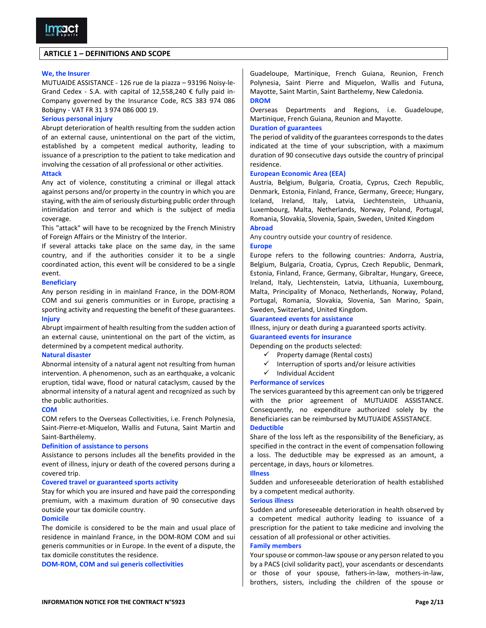### **ARTICLE 1 - DEFINITIONS AND SCOPE**

### We, the Insurer

MUTUAIDE ASSISTANCE - 126 rue de la piazza - 93196 Noisy-le-Grand Cedex - S.A. with capital of 12,558,240 € fully paid in-Company governed by the Insurance Code, RCS 383 974 086 Bobigny - VAT FR 31 3 974 086 000 19.

#### **Serious personal injury**

Abrupt deterioration of health resulting from the sudden action of an external cause, unintentional on the part of the victim, established by a competent medical authority, leading to issuance of a prescription to the patient to take medication and involving the cessation of all professional or other activities.

### **Attack**

Any act of violence, constituting a criminal or illegal attack against persons and/or property in the country in which you are staying, with the aim of seriously disturbing public order through intimidation and terror and which is the subject of media coverage.

This "attack" will have to be recognized by the French Ministry of Foreign Affairs or the Ministry of the Interior.

If several attacks take place on the same day, in the same country, and if the authorities consider it to be a single coordinated action, this event will be considered to be a single event.

#### **Beneficiary**

Any person residing in in mainland France, in the DOM-ROM COM and sui generis communities or in Europe, practising a sporting activity and requesting the benefit of these guarantees. **Injury** 

Abrupt impairment of health resulting from the sudden action of an external cause, unintentional on the part of the victim, as determined by a competent medical authority.

### **Natural disaster**

Abnormal intensity of a natural agent not resulting from human intervention. A phenomenon, such as an earthquake, a volcanic eruption, tidal wave, flood or natural cataclysm, caused by the abnormal intensity of a natural agent and recognized as such by the public authorities.

#### **COM**

COM refers to the Overseas Collectivities, i.e. French Polynesia, Saint-Pierre-et-Miquelon, Wallis and Futuna, Saint Martin and Saint-Barthélemy.

#### **Definition of assistance to persons**

Assistance to persons includes all the benefits provided in the event of illness, injury or death of the covered persons during a covered trip.

#### **Covered travel or guaranteed sports activity**

Stay for which you are insured and have paid the corresponding premium, with a maximum duration of 90 consecutive days outside your tax domicile country.

#### **Domicile**

The domicile is considered to be the main and usual place of residence in mainland France, in the DOM-ROM COM and sui generis communities or in Europe. In the event of a dispute, the tax domicile constitutes the residence.

DOM-ROM, COM and sui generis collectivities

Guadeloupe, Martinique, French Guiana, Reunion, French Polynesia, Saint Pierre and Miquelon, Wallis and Futuna, Mayotte, Saint Martin, Saint Barthelemy, New Caledonia. **DROM** 

Overseas Departments and Regions, i.e. Guadeloupe, Martinique, French Guiana, Reunion and Mayotte.

#### **Duration of guarantees**

The period of validity of the guarantees corresponds to the dates indicated at the time of your subscription, with a maximum duration of 90 consecutive days outside the country of principal residence.

### **European Economic Area (EEA)**

Austria, Belgium, Bulgaria, Croatia, Cyprus, Czech Republic, Denmark, Estonia, Finland, France, Germany, Greece; Hungary, Iceland, Ireland, Italy, Latvia, Liechtenstein, Lithuania, Luxembourg, Malta, Netherlands, Norway, Poland, Portugal, Romania, Slovakia, Slovenia, Spain, Sweden, United Kingdom

# **Abroad**

Any country outside your country of residence.

#### **Europe**

Europe refers to the following countries: Andorra, Austria, Belgium, Bulgaria, Croatia, Cyprus, Czech Republic, Denmark, Estonia, Finland, France, Germany, Gibraltar, Hungary, Greece, Ireland, Italy, Liechtenstein, Latvia, Lithuania, Luxembourg, Malta, Principality of Monaco, Netherlands, Norway, Poland, Portugal, Romania, Slovakia, Slovenia, San Marino, Spain, Sweden, Switzerland, United Kingdom.

### **Guaranteed events for assistance**

Illness, injury or death during a guaranteed sports activity.

## **Guaranteed events for insurance**

Depending on the products selected:

- $\checkmark$  Property damage (Rental costs)
- Interruption of sports and/or leisure activities
- $\checkmark$ **Individual Accident**

# **Performance of services**

The services guaranteed by this agreement can only be triggered with the prior agreement of MUTUAIDE ASSISTANCE. Consequently, no expenditure authorized solely by the Beneficiaries can be reimbursed by MUTUAIDE ASSISTANCE. **Deductible** 

Share of the loss left as the responsibility of the Beneficiary, as specified in the contract in the event of compensation following a loss. The deductible may be expressed as an amount, a percentage, in days, hours or kilometres.

### **Illness**

Sudden and unforeseeable deterioration of health established by a competent medical authority.

#### **Serious illness**

Sudden and unforeseeable deterioration in health observed by a competent medical authority leading to issuance of a prescription for the patient to take medicine and involving the cessation of all professional or other activities.

#### **Family members**

Your spouse or common-law spouse or any person related to you by a PACS (civil solidarity pact), your ascendants or descendants or those of your spouse, fathers-in-law, mothers-in-law, brothers, sisters, including the children of the spouse or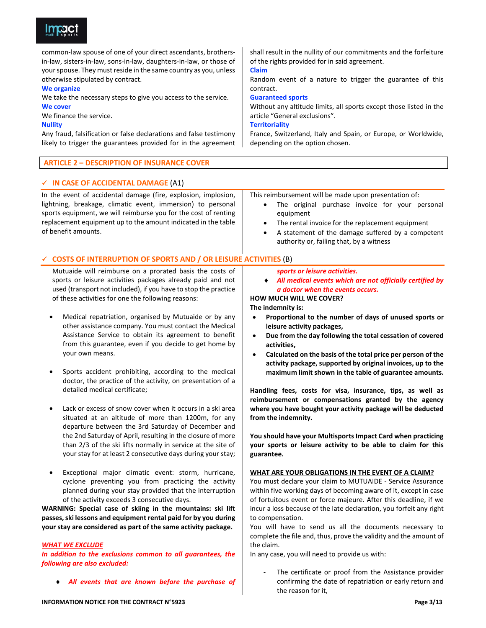

common-law spouse of one of your direct ascendants, brothersin-law, sisters-in-law, sons-in-law, daughters-in-law, or those of your spouse. They must reside in the same country as you, unless otherwise stipulated by contract.

#### **We organize**

We take the necessary steps to give you access to the service.

## **We cover**

We finance the service.

## **Nullity**

Any fraud, falsification or false declarations and false testimony likely to trigger the guarantees provided for in the agreement

## **ARTICLE 2 - DESCRIPTION OF INSURANCE COVER**

## $\checkmark$  IN CASE OF ACCIDENTAL DAMAGE (A1)

In the event of accidental damage (fire, explosion, implosion, lightning, breakage, climatic event, immersion) to personal sports equipment, we will reimburse you for the cost of renting replacement equipment up to the amount indicated in the table of benefit amounts.

# shall result in the nullity of our commitments and the forfeiture of the rights provided for in said agreement.

## **Claim**

Random event of a nature to trigger the guarantee of this contract.

### **Guaranteed sports**

Without any altitude limits, all sports except those listed in the article "General exclusions".

### **Territoriality**

France, Switzerland, Italy and Spain, or Europe, or Worldwide, depending on the option chosen.

## This reimbursement will be made upon presentation of:

- The original purchase invoice for your personal  $\bullet$ equipment
- The rental invoice for the replacement equipment
- A statement of the damage suffered by a competent authority or, failing that, by a witness

## $\checkmark$  COSTS OF INTERRUPTION OF SPORTS AND / OR LEISURE ACTIVITIES (B)

Mutuaide will reimburse on a prorated basis the costs of sports or leisure activities packages already paid and not used (transport not included), if you have to stop the practice of these activities for one the following reasons:

- Medical repatriation, organised by Mutuaide or by any other assistance company. You must contact the Medical Assistance Service to obtain its agreement to benefit from this guarantee, even if you decide to get home by your own means.
- Sports accident prohibiting, according to the medical doctor, the practice of the activity, on presentation of a detailed medical certificate;
- Lack or excess of snow cover when it occurs in a ski area situated at an altitude of more than 1200m, for any departure between the 3rd Saturday of December and the 2nd Saturday of April, resulting in the closure of more than 2/3 of the ski lifts normally in service at the site of your stay for at least 2 consecutive days during your stay;
- Exceptional major climatic event: storm, hurricane, cyclone preventing you from practicing the activity planned during your stay provided that the interruption of the activity exceeds 3 consecutive days.

WARNING: Special case of skiing in the mountains: ski lift passes, ski lessons and equipment rental paid for by you during your stay are considered as part of the same activity package.

### **WHAT WE EXCLUDE**

In addition to the exclusions common to all guarantees, the following are also excluded:

All events that are known before the purchase of

### sports or leisure activities.

All medical events which are not officially certified by a doctor when the events occurs.

## **HOW MUCH WILL WE COVER?**

### The indemnity is:

- Proportional to the number of days of unused sports or leisure activity packages,
- Due from the day following the total cessation of covered activities,
- Calculated on the basis of the total price per person of the activity package, supported by original invoices, up to the maximum limit shown in the table of guarantee amounts.

Handling fees, costs for visa, insurance, tips, as well as reimbursement or compensations granted by the agency where you have bought your activity package will be deducted from the indemnity.

You should have your Multisports Impact Card when practicing your sports or leisure activity to be able to claim for this guarantee.

## WHAT ARE YOUR OBLIGATIONS IN THE EVENT OF A CLAIM?

You must declare your claim to MUTUAIDE - Service Assurance within five working days of becoming aware of it, except in case of fortuitous event or force majeure. After this deadline, if we incur a loss because of the late declaration, you forfeit any right to compensation.

You will have to send us all the documents necessary to complete the file and, thus, prove the validity and the amount of the claim.

In any case, you will need to provide us with:

The certificate or proof from the Assistance provider confirming the date of repatriation or early return and the reason for it.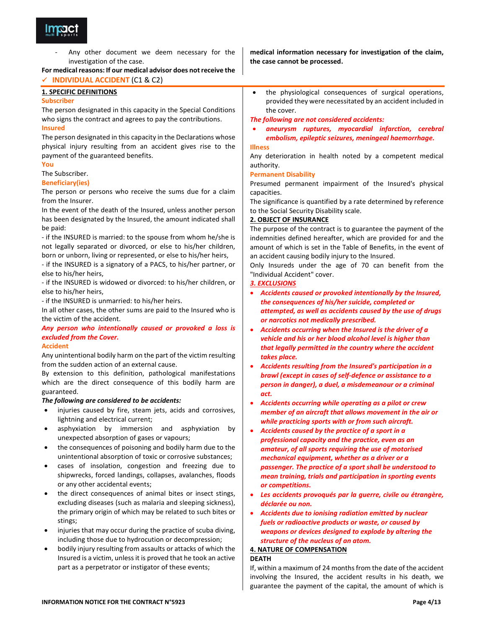

Any other document we deem necessary for the investigation of the case.

## For medical reasons: If our medical advisor does not receive the √ INDIVIDUAL ACCIDENT (C1 & C2)

### **1. SPECIFIC DEFINITIONS**

#### **Subscriber**

The person designated in this capacity in the Special Conditions who signs the contract and agrees to pay the contributions.

### **Insured**

The person designated in this capacity in the Declarations whose physical injury resulting from an accident gives rise to the payment of the guaranteed benefits.

You

## The Subscriber.

### **Beneficiary(ies)**

The person or persons who receive the sums due for a claim from the Insurer.

In the event of the death of the Insured, unless another person has been designated by the Insured, the amount indicated shall be paid:

- if the INSURED is married: to the spouse from whom he/she is not legally separated or divorced, or else to his/her children, born or unborn, living or represented, or else to his/her heirs,

- if the INSURED is a signatory of a PACS, to his/her partner, or else to his/her heirs,

- if the INSURED is widowed or divorced: to his/her children, or else to his/her heirs,

- if the INSURED is unmarried: to his/her heirs.

In all other cases, the other sums are paid to the Insured who is the victim of the accident.

## Any person who intentionally caused or provoked a loss is excluded from the Cover.

### **Accident**

Any unintentional bodily harm on the part of the victim resulting from the sudden action of an external cause.

By extension to this definition, pathological manifestations which are the direct consequence of this bodily harm are guaranteed.

### The following are considered to be accidents:

- injuries caused by fire, steam jets, acids and corrosives, lightning and electrical current;
- asphyxiation by immersion and asphyxiation by unexpected absorption of gases or vapours;
- the consequences of poisoning and bodily harm due to the unintentional absorption of toxic or corrosive substances;
- cases of insolation, congestion and freezing due to shipwrecks, forced landings, collapses, avalanches, floods or any other accidental events;
- the direct consequences of animal bites or insect stings, excluding diseases (such as malaria and sleeping sickness), the primary origin of which may be related to such bites or stings;
- injuries that may occur during the practice of scuba diving, including those due to hydrocution or decompression;
- bodily injury resulting from assaults or attacks of which the Insured is a victim, unless it is proved that he took an active part as a perpetrator or instigator of these events;

medical information necessary for investigation of the claim, the case cannot be processed.

the physiological consequences of surgical operations, provided they were necessitated by an accident included in the cover.

The following are not considered accidents:

aneurysm ruptures, myocardial infarction, cerebral embolism, epileptic seizures, meningeal haemorrhage.

## **Illness**

Any deterioration in health noted by a competent medical authority.

### **Permanent Disability**

Presumed permanent impairment of the Insured's physical capacities.

The significance is quantified by a rate determined by reference to the Social Security Disability scale.

### **2. OBJECT OF INSURANCE**

The purpose of the contract is to guarantee the payment of the indemnities defined hereafter, which are provided for and the amount of which is set in the Table of Benefits, in the event of an accident causing bodily injury to the Insured.

Only Insureds under the age of 70 can benefit from the "Individual Accident" cover.

## 3. EXCLUSIONS

- Accidents caused or provoked intentionally by the Insured, the consequences of his/her suicide, completed or attempted, as well as accidents caused by the use of drugs or narcotics not medically prescribed.
- Accidents occurring when the Insured is the driver of a vehicle and his or her blood alcohol level is higher than that legally permitted in the country where the accident takes place.
- Accidents resulting from the Insured's participation in a brawl (except in cases of self-defence or assistance to a person in danger), a duel, a misdemeanour or a criminal act.
- $\bullet$ Accidents occurring while operating as a pilot or crew member of an aircraft that allows movement in the air or while practicing sports with or from such aircraft.
- Accidents caused by the practice of a sport in a professional capacity and the practice, even as an amateur, of all sports requiring the use of motorised mechanical equipment, whether as a driver or a passenger. The practice of a sport shall be understood to mean training, trials and participation in sporting events or competitions.
- Les accidents provoqués par la guerre, civile ou étrangère, déclarée ou non.
- Accidents due to ionising radiation emitted by nuclear fuels or radioactive products or waste, or caused by weapons or devices designed to explode by altering the structure of the nucleus of an atom.

## **4. NATURE OF COMPENSATION**

### **DEATH**

If, within a maximum of 24 months from the date of the accident involving the Insured, the accident results in his death, we guarantee the payment of the capital, the amount of which is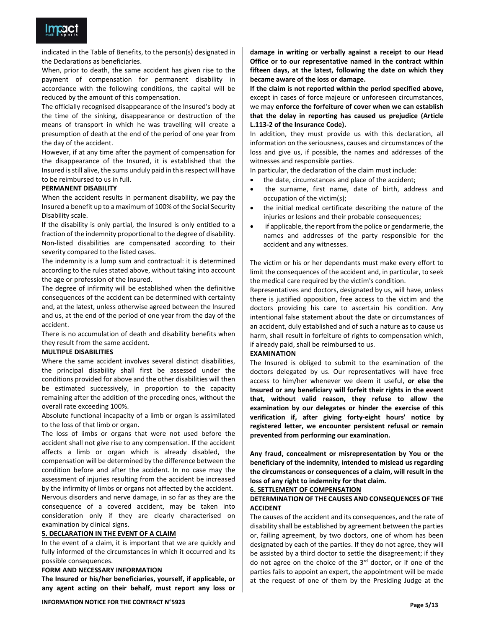

indicated in the Table of Benefits, to the person(s) designated in the Declarations as beneficiaries.

When, prior to death, the same accident has given rise to the payment of compensation for permanent disability in accordance with the following conditions, the capital will be reduced by the amount of this compensation.

The officially recognised disappearance of the Insured's body at the time of the sinking, disappearance or destruction of the means of transport in which he was travelling will create a presumption of death at the end of the period of one year from the day of the accident.

However, if at any time after the payment of compensation for the disappearance of the Insured, it is established that the Insured is still alive, the sums unduly paid in this respect will have to be reimbursed to us in full.

### PERMANENT DISABILITY

When the accident results in permanent disability, we pay the Insured a benefit up to a maximum of 100% of the Social Security Disability scale.

If the disability is only partial, the Insured is only entitled to a fraction of the indemnity proportional to the degree of disability. Non-listed disabilities are compensated according to their severity compared to the listed cases.

The indemnity is a lump sum and contractual: it is determined according to the rules stated above, without taking into account the age or profession of the Insured.

The degree of infirmity will be established when the definitive consequences of the accident can be determined with certainty and, at the latest, unless otherwise agreed between the Insured and us, at the end of the period of one year from the day of the accident.

There is no accumulation of death and disability benefits when they result from the same accident.

#### **MULTIPLE DISABILITIES**

Where the same accident involves several distinct disabilities, the principal disability shall first be assessed under the conditions provided for above and the other disabilities will then be estimated successively, in proportion to the capacity remaining after the addition of the preceding ones, without the overall rate exceeding 100%.

Absolute functional incapacity of a limb or organ is assimilated to the loss of that limb or organ.

The loss of limbs or organs that were not used before the accident shall not give rise to any compensation. If the accident affects a limb or organ which is already disabled, the compensation will be determined by the difference between the condition before and after the accident. In no case may the assessment of injuries resulting from the accident be increased by the infirmity of limbs or organs not affected by the accident.

Nervous disorders and nerve damage, in so far as they are the consequence of a covered accident, may be taken into consideration only if they are clearly characterised on examination by clinical signs.

#### 5. DECLARATION IN THE EVENT OF A CLAIM

In the event of a claim, it is important that we are quickly and fully informed of the circumstances in which it occurred and its possible consequences.

#### FORM AND NECESSARY INFORMATION

The Insured or his/her beneficiaries, yourself, if applicable, or any agent acting on their behalf, must report any loss or damage in writing or verbally against a receipt to our Head Office or to our representative named in the contract within fifteen days, at the latest, following the date on which they became aware of the loss or damage.

If the claim is not reported within the period specified above, except in cases of force majeure or unforeseen circumstances, we may enforce the forfeiture of cover when we can establish that the delay in reporting has caused us prejudice (Article L.113-2 of the Insurance Code).

In addition, they must provide us with this declaration, all information on the seriousness, causes and circumstances of the loss and give us, if possible, the names and addresses of the witnesses and responsible parties.

In particular, the declaration of the claim must include:

- the date, circumstances and place of the accident;
- the surname, first name, date of birth, address and occupation of the victim(s);
- the initial medical certificate describing the nature of the injuries or lesions and their probable consequences;
- if applicable, the report from the police or gendarmerie, the names and addresses of the party responsible for the accident and any witnesses.

The victim or his or her dependants must make every effort to limit the consequences of the accident and, in particular, to seek the medical care required by the victim's condition.

Representatives and doctors, designated by us, will have, unless there is justified opposition, free access to the victim and the doctors providing his care to ascertain his condition. Any intentional false statement about the date or circumstances of an accident, duly established and of such a nature as to cause us harm, shall result in forfeiture of rights to compensation which, if already paid, shall be reimbursed to us.

### **EXAMINATION**

The Insured is obliged to submit to the examination of the doctors delegated by us. Our representatives will have free access to him/her whenever we deem it useful, or else the Insured or any beneficiary will forfeit their rights in the event that, without valid reason, they refuse to allow the examination by our delegates or hinder the exercise of this verification if, after giving forty-eight hours' notice by registered letter, we encounter persistent refusal or remain prevented from performing our examination.

Any fraud, concealment or misrepresentation by You or the beneficiary of the indemnity, intended to mislead us regarding the circumstances or consequences of a claim, will result in the loss of any right to indemnity for that claim.

#### **6. SETTLEMENT OF COMPENSATION**

### DETERMINATION OF THE CAUSES AND CONSEQUENCES OF THE **ACCIDENT**

The causes of the accident and its consequences, and the rate of disability shall be established by agreement between the parties or, failing agreement, by two doctors, one of whom has been designated by each of the parties. If they do not agree, they will be assisted by a third doctor to settle the disagreement; if they do not agree on the choice of the  $3^{rd}$  doctor, or if one of the parties fails to appoint an expert, the appointment will be made at the request of one of them by the Presiding Judge at the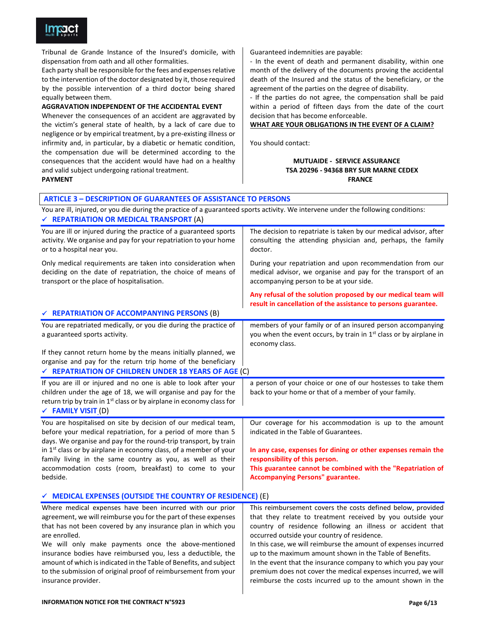

Tribunal de Grande Instance of the Insured's domicile, with dispensation from oath and all other formalities.

Each party shall be responsible for the fees and expenses relative to the intervention of the doctor designated by it, those required by the possible intervention of a third doctor being shared equally between them.

### AGGRAVATION INDEPENDENT OF THE ACCIDENTAL EVENT

Whenever the consequences of an accident are aggravated by the victim's general state of health, by a lack of care due to negligence or by empirical treatment, by a pre-existing illness or infirmity and, in particular, by a diabetic or hematic condition, the compensation due will be determined according to the consequences that the accident would have had on a healthy and valid subject undergoing rational treatment. **PAYMENT** 

Guaranteed indemnities are payable:

- In the event of death and permanent disability, within one month of the delivery of the documents proving the accidental death of the Insured and the status of the beneficiary, or the agreement of the parties on the degree of disability.

- If the parties do not agree, the compensation shall be paid within a period of fifteen days from the date of the court decision that has become enforceable.

### WHAT ARE YOUR OBLIGATIONS IN THE EVENT OF A CLAIM?

You should contact:

## **MUTUAIDE - SERVICE ASSURANCE TSA 20296 - 94368 BRY SUR MARNE CEDEX FRANCE**

## **ARTICLE 3 - DESCRIPTION OF GUARANTEES OF ASSISTANCE TO PERSONS**

You are ill, injured, or you die during the practice of a guaranteed sports activity. We intervene under the following conditions: ← REPATRIATION OR MEDICAL TRANSPORT (A)

| You are ill or injured during the practice of a guaranteed sports<br>activity. We organise and pay for your repatriation to your home<br>or to a hospital near you.                                                                                     | The decision to repatriate is taken by our medical advisor, after<br>consulting the attending physician and, perhaps, the family<br>doctor.                                             |
|---------------------------------------------------------------------------------------------------------------------------------------------------------------------------------------------------------------------------------------------------------|-----------------------------------------------------------------------------------------------------------------------------------------------------------------------------------------|
| Only medical requirements are taken into consideration when<br>deciding on the date of repatriation, the choice of means of<br>transport or the place of hospitalisation.                                                                               | During your repatriation and upon recommendation from our<br>medical advisor, we organise and pay for the transport of an<br>accompanying person to be at your side.                    |
|                                                                                                                                                                                                                                                         | Any refusal of the solution proposed by our medical team will<br>result in cancellation of the assistance to persons guarantee.                                                         |
| ← REPATRIATION OF ACCOMPANYING PERSONS (B)                                                                                                                                                                                                              |                                                                                                                                                                                         |
| You are repatriated medically, or you die during the practice of<br>a guaranteed sports activity.                                                                                                                                                       | members of your family or of an insured person accompanying<br>you when the event occurs, by train in 1 <sup>st</sup> class or by airplane in<br>economy class.                         |
| If they cannot return home by the means initially planned, we<br>organise and pay for the return trip home of the beneficiary<br>← REPATRIATION OF CHILDREN UNDER 18 YEARS OF AGE (C)                                                                   |                                                                                                                                                                                         |
| If you are ill or injured and no one is able to look after your<br>children under the age of 18, we will organise and pay for the<br>return trip by train in 1 <sup>st</sup> class or by airplane in economy class for<br>$\checkmark$ FAMILY VISIT (D) | a person of your choice or one of our hostesses to take them<br>back to your home or that of a member of your family.                                                                   |
| You are hospitalised on site by decision of our medical team,<br>before your medical repatriation, for a period of more than 5<br>days. We organise and pay for the round-trip transport, by train                                                      | Our coverage for his accommodation is up to the amount<br>indicated in the Table of Guarantees.                                                                                         |
| in $1st$ class or by airplane in economy class, of a member of your<br>family living in the same country as you, as well as their                                                                                                                       | In any case, expenses for dining or other expenses remain the<br>responsibility of this person.                                                                                         |
| accommodation costs (room, breakfast) to come to your<br>bedside.                                                                                                                                                                                       | This guarantee cannot be combined with the "Repatriation of<br><b>Accompanying Persons" guarantee.</b>                                                                                  |
| $\checkmark$ MEDICAL EXPENSES (OUTSIDE THE COUNTRY OF RESIDENCE) (E)                                                                                                                                                                                    |                                                                                                                                                                                         |
| Where medical expenses have been incurred with our prior<br>agreement, we will reimburse you for the part of these expenses<br>that has not been covered by any incurance plan in which you                                                             | This reimbursement covers the costs defined below, provided<br>that they relate to treatment received by you outside your<br>country of rocidence following an illness or accident that |

that has not been covered by any insurance plan in which you are enrolled.

We will only make payments once the above-mentioned insurance bodies have reimbursed you, less a deductible, the amount of which is indicated in the Table of Benefits, and subject to the submission of original proof of reimbursement from your insurance provider.

country of residence following an illness or accident that occurred outside your country of residence.

In this case, we will reimburse the amount of expenses incurred up to the maximum amount shown in the Table of Benefits.

In the event that the insurance company to which you pay your premium does not cover the medical expenses incurred, we will reimburse the costs incurred up to the amount shown in the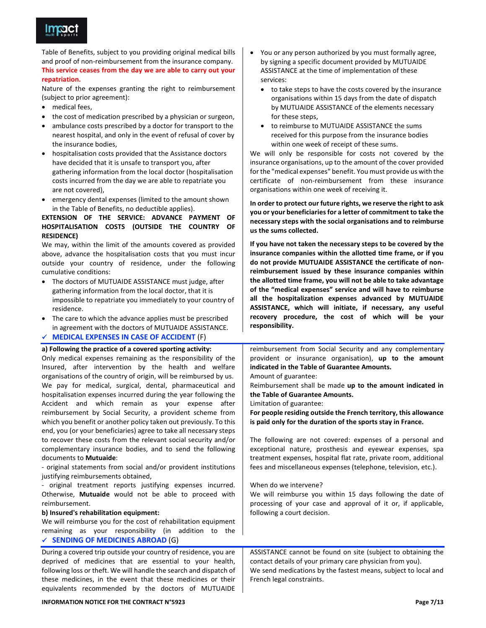

Table of Benefits, subject to you providing original medical bills and proof of non-reimbursement from the insurance company. This service ceases from the day we are able to carry out your repatriation.

Nature of the expenses granting the right to reimbursement (subject to prior agreement):

- medical fees,
- the cost of medication prescribed by a physician or surgeon,
- ambulance costs prescribed by a doctor for transport to the nearest hospital, and only in the event of refusal of cover by the insurance bodies,
- hospitalisation costs provided that the Assistance doctors have decided that it is unsafe to transport you, after gathering information from the local doctor (hospitalisation costs incurred from the day we are able to repatriate you are not covered),
- emergency dental expenses (limited to the amount shown in the Table of Benefits, no deductible applies).

## EXTENSION OF THE SERVICE: ADVANCE PAYMENT OF HOSPITALISATION COSTS (OUTSIDE THE COUNTRY OF **RESIDENCE)**

We may, within the limit of the amounts covered as provided above, advance the hospitalisation costs that you must incur outside your country of residence, under the following cumulative conditions:

- The doctors of MUTUAIDE ASSISTANCE must judge, after gathering information from the local doctor, that it is impossible to repatriate you immediately to your country of residence.
- The care to which the advance applies must be prescribed in agreement with the doctors of MUTUAIDE ASSISTANCE.

## ← MEDICAL EXPENSES IN CASE OF ACCIDENT (F)

## a) Following the practice of a covered sporting activity:

Only medical expenses remaining as the responsibility of the Insured, after intervention by the health and welfare organisations of the country of origin, will be reimbursed by us. We pay for medical, surgical, dental, pharmaceutical and hospitalisation expenses incurred during the year following the Accident and which remain as your expense after reimbursement by Social Security, a provident scheme from which you benefit or another policy taken out previously. To this end, you (or your beneficiaries) agree to take all necessary steps to recover these costs from the relevant social security and/or complementary insurance bodies, and to send the following documents to Mutuaide:

- original statements from social and/or provident institutions justifying reimbursements obtained,

original treatment reports justifying expenses incurred. Otherwise, Mutuaide would not be able to proceed with reimbursement.

### b) Insured's rehabilitation equipment:

We will reimburse you for the cost of rehabilitation equipment remaining as your responsibility (in addition to the  $\checkmark$  SENDING OF MEDICINES ABROAD (G)

During a covered trip outside your country of residence, you are deprived of medicines that are essential to your health, following loss or theft. We will handle the search and dispatch of these medicines, in the event that these medicines or their equivalents recommended by the doctors of MUTUAIDE

- to take steps to have the costs covered by the insurance organisations within 15 days from the date of dispatch by MUTUAIDE ASSISTANCE of the elements necessary for these steps,
- to reimburse to MUTUAIDE ASSISTANCE the sums received for this purpose from the insurance bodies within one week of receipt of these sums.

We will only be responsible for costs not covered by the insurance organisations, up to the amount of the cover provided for the "medical expenses" benefit. You must provide us with the certificate of non-reimbursement from these insurance organisations within one week of receiving it.

In order to protect our future rights, we reserve the right to ask you or your beneficiaries for a letter of commitment to take the necessary steps with the social organisations and to reimburse us the sums collected.

If you have not taken the necessary steps to be covered by the insurance companies within the allotted time frame, or if you do not provide MUTUAIDE ASSISTANCE the certificate of nonreimbursement issued by these insurance companies within the allotted time frame, you will not be able to take advantage of the "medical expenses" service and will have to reimburse all the hospitalization expenses advanced by MUTUAIDE ASSISTANCE, which will initiate, if necessary, any useful recovery procedure, the cost of which will be your responsibility.

reimbursement from Social Security and any complementary provident or insurance organisation), up to the amount indicated in the Table of Guarantee Amounts.

#### Amount of guarantee:

Reimbursement shall be made up to the amount indicated in the Table of Guarantee Amounts.

Limitation of guarantee:

For people residing outside the French territory, this allowance is paid only for the duration of the sports stay in France.

The following are not covered: expenses of a personal and exceptional nature, prosthesis and eyewear expenses, spa treatment expenses, hospital flat rate, private room, additional fees and miscellaneous expenses (telephone, television, etc.).

When do we intervene?

We will reimburse you within 15 days following the date of processing of your case and approval of it or, if applicable, following a court decision.

ASSISTANCE cannot be found on site (subject to obtaining the contact details of your primary care physician from you). We send medications by the fastest means, subject to local and French legal constraints.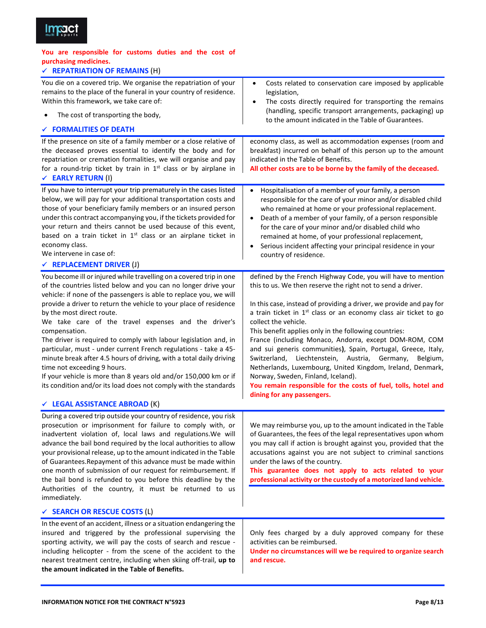

## You are responsible for customs duties and the cost of purchasing medicines.

| $\checkmark$ |  | <b>REPATRIATION OF REMAINS (H)</b> |
|--------------|--|------------------------------------|
|--------------|--|------------------------------------|

| You die on a covered trip. We organise the repatriation of your<br>remains to the place of the funeral in your country of residence.<br>Within this framework, we take care of:<br>The cost of transporting the body,<br>$\checkmark$ FORMALITIES OF DEATH                                                                                                                                                                                                                                                                                                                                                                                                                                                                                                                                                    | Costs related to conservation care imposed by applicable<br>$\bullet$<br>legislation,<br>The costs directly required for transporting the remains<br>$\bullet$<br>(handling, specific transport arrangements, packaging) up<br>to the amount indicated in the Table of Guarantees.                                                                                                                                                                                                                                                                                                                                                                                                                                                                    |
|---------------------------------------------------------------------------------------------------------------------------------------------------------------------------------------------------------------------------------------------------------------------------------------------------------------------------------------------------------------------------------------------------------------------------------------------------------------------------------------------------------------------------------------------------------------------------------------------------------------------------------------------------------------------------------------------------------------------------------------------------------------------------------------------------------------|-------------------------------------------------------------------------------------------------------------------------------------------------------------------------------------------------------------------------------------------------------------------------------------------------------------------------------------------------------------------------------------------------------------------------------------------------------------------------------------------------------------------------------------------------------------------------------------------------------------------------------------------------------------------------------------------------------------------------------------------------------|
| If the presence on site of a family member or a close relative of<br>the deceased proves essential to identify the body and for<br>repatriation or cremation formalities, we will organise and pay<br>for a round-trip ticket by train in $1st$ class or by airplane in<br>← EARLY RETURN (I)                                                                                                                                                                                                                                                                                                                                                                                                                                                                                                                 | economy class, as well as accommodation expenses (room and<br>breakfast) incurred on behalf of this person up to the amount<br>indicated in the Table of Benefits.<br>All other costs are to be borne by the family of the deceased.                                                                                                                                                                                                                                                                                                                                                                                                                                                                                                                  |
| If you have to interrupt your trip prematurely in the cases listed<br>below, we will pay for your additional transportation costs and<br>those of your beneficiary family members or an insured person<br>under this contract accompanying you, if the tickets provided for<br>your return and theirs cannot be used because of this event,<br>based on a train ticket in 1 <sup>st</sup> class or an airplane ticket in<br>economy class.<br>We intervene in case of:<br>$\checkmark$ REPLACEMENT DRIVER (J)                                                                                                                                                                                                                                                                                                 | Hospitalisation of a member of your family, a person<br>$\bullet$<br>responsible for the care of your minor and/or disabled child<br>who remained at home or your professional replacement.<br>Death of a member of your family, of a person responsible<br>$\bullet$<br>for the care of your minor and/or disabled child who<br>remained at home, of your professional replacement,<br>Serious incident affecting your principal residence in your<br>$\bullet$<br>country of residence.                                                                                                                                                                                                                                                             |
| You become ill or injured while travelling on a covered trip in one<br>of the countries listed below and you can no longer drive your<br>vehicle: if none of the passengers is able to replace you, we will<br>provide a driver to return the vehicle to your place of residence<br>by the most direct route.<br>We take care of the travel expenses and the driver's<br>compensation.<br>The driver is required to comply with labour legislation and, in<br>particular, must - under current French regulations - take a 45-<br>minute break after 4.5 hours of driving, with a total daily driving<br>time not exceeding 9 hours.<br>If your vehicle is more than 8 years old and/or 150,000 km or if<br>its condition and/or its load does not comply with the standards<br>← LEGAL ASSISTANCE ABROAD (K) | defined by the French Highway Code, you will have to mention<br>this to us. We then reserve the right not to send a driver.<br>In this case, instead of providing a driver, we provide and pay for<br>a train ticket in $1st$ class or an economy class air ticket to go<br>collect the vehicle.<br>This benefit applies only in the following countries:<br>France (including Monaco, Andorra, except DOM-ROM, COM<br>and sui generis communities), Spain, Portugal, Greece, Italy,<br>Switzerland, Liechtenstein, Austria, Germany,<br>Belgium,<br>Netherlands, Luxembourg, United Kingdom, Ireland, Denmark,<br>Norway, Sweden, Finland, Iceland).<br>You remain responsible for the costs of fuel, tolls, hotel and<br>dining for any passengers. |
| During a covered trip outside your country of residence, you risk<br>prosecution or imprisonment for failure to comply with, or<br>inadvertent violation of, local laws and regulations. We will<br>advance the bail bond required by the local authorities to allow<br>your provisional release, up to the amount indicated in the Table<br>of Guarantees. Repayment of this advance must be made within<br>one month of submission of our request for reimbursement. If<br>the bail bond is refunded to you before this deadline by the<br>Authorities of the country, it must be returned to us<br>immediately.                                                                                                                                                                                            | We may reimburse you, up to the amount indicated in the Table<br>of Guarantees, the fees of the legal representatives upon whom<br>you may call if action is brought against you, provided that the<br>accusations against you are not subject to criminal sanctions<br>under the laws of the country.<br>This guarantee does not apply to acts related to your<br>professional activity or the custody of a motorized land vehicle.                                                                                                                                                                                                                                                                                                                  |
| <b>V SEARCH OR RESCUE COSTS (L)</b>                                                                                                                                                                                                                                                                                                                                                                                                                                                                                                                                                                                                                                                                                                                                                                           |                                                                                                                                                                                                                                                                                                                                                                                                                                                                                                                                                                                                                                                                                                                                                       |
| In the event of an accident, illness or a situation endangering the<br>insured and triggered by the professional supervising the<br>sporting activity, we will pay the costs of search and rescue -<br>including helicopter - from the scene of the accident to the<br>nearest treatment centre, including when skiing off-trail, up to<br>the amount indicated in the Table of Benefits.                                                                                                                                                                                                                                                                                                                                                                                                                     | Only fees charged by a duly approved company for these<br>activities can be reimbursed.<br>Under no circumstances will we be required to organize search<br>and rescue.                                                                                                                                                                                                                                                                                                                                                                                                                                                                                                                                                                               |

 $\overline{\phantom{a}}$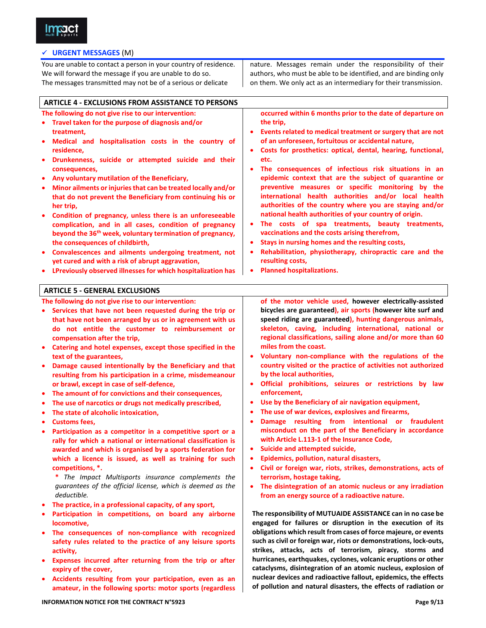

## √ URGENT MESSAGES (M)

You are unable to contact a person in your country of residence. We will forward the message if you are unable to do so. The messages transmitted may not be of a serious or delicate

nature. Messages remain under the responsibility of their authors, who must be able to be identified, and are binding only on them. We only act as an intermediary for their transmission.

**ARTICLE 4 - EXCLUSIONS FROM ASSISTANCE TO PERSONS** The following do not give rise to our intervention: occurred within 6 months prior to the date of departure on • Travel taken for the purpose of diagnosis and/or the trip, treatment, Events related to medical treatment or surgery that are not Medical and hospitalisation costs in the country of of an unforeseen, fortuitous or accidental nature, residence. Costs for prosthetics: optical, dental, hearing, functional, Drunkenness, suicide or attempted suicide and their etc. consequences, The consequences of infectious risk situations in an • Any voluntary mutilation of the Beneficiary, epidemic context that are the subject of quarantine or preventive measures or specific monitoring by the Minor ailments or injuries that can be treated locally and/or international health authorities and/or local health that do not prevent the Beneficiary from continuing his or authorities of the country where you are staying and/or her trip, national health authorities of your country of origin. • Condition of pregnancy, unless there is an unforeseeable The costs of spa treatments, beauty treatments, complication, and in all cases, condition of pregnancy beyond the 36<sup>th</sup> week, voluntary termination of pregnancy, vaccinations and the costs arising therefrom, the consequences of childbirth, Stays in nursing homes and the resulting costs, Convalescences and ailments undergoing treatment, not Rehabilitation, physiotherapy, chiropractic care and the yet cured and with a risk of abrupt aggravation, resulting costs, • LPreviously observed illnesses for which hospitalization has **Planned hospitalizations. ARTICLE 5 - GENERAL EXCLUSIONS** of the motor vehicle used, however electrically-assisted The following do not give rise to our intervention: bicycles are guaranteed), air sports (however kite surf and • Services that have not been requested during the trip or speed riding are guaranteed), hunting dangerous animals, that have not been arranged by us or in agreement with us skeleton, caving, including international, national or do not entitle the customer to reimbursement or compensation after the trip, regional classifications, sailing alone and/or more than 60 • Catering and hotel expenses, except those specified in the miles from the coast. Voluntary non-compliance with the regulations of the text of the guarantees, country visited or the practice of activities not authorized Damage caused intentionally by the Beneficiary and that  $\bullet$ by the local authorities, resulting from his participation in a crime, misdemeanour Official prohibitions, seizures or restrictions by law or brawl, except in case of self-defence, enforcement, The amount of for convictions and their consequences, Use by the Beneficiary of air navigation equipment, The use of narcotics or drugs not medically prescribed, The state of alcoholic intoxication. The use of war devices, explosives and firearms, Damage resulting from intentional or fraudulent **Customs fees,** misconduct on the part of the Beneficiary in accordance Participation as a competitor in a competitive sport or a with Article L.113-1 of the Insurance Code, rally for which a national or international classification is Suicide and attempted suicide, awarded and which is organised by a sports federation for which a licence is issued, as well as training for such Epidemics, pollution, natural disasters, competitions, \*. Civil or foreign war, riots, strikes, demonstrations, acts of \* The Impact Multisports insurance complements the terrorism, hostage taking, quarantees of the official license, which is deemed as the The disintegration of an atomic nucleus or any irradiation deductible. from an energy source of a radioactive nature. • The practice, in a professional capacity, of any sport, The responsibility of MUTUAIDE ASSISTANCE can in no case be Participation in competitions, on board any airborne engaged for failures or disruption in the execution of its locomotive, obligations which result from cases of force majeure, or events The consequences of non-compliance with recognized such as civil or foreign war, riots or demonstrations, lock-outs, safety rules related to the practice of any leisure sports strikes, attacks, acts of terrorism, piracy, storms and activity, hurricanes, earthquakes, cyclones, volcanic eruptions or other Expenses incurred after returning from the trip or after cataclysms, disintegration of an atomic nucleus, explosion of expiry of the cover,

**INFORMATION NOTICE FOR THE CONTRACT N°5923** 

Accidents resulting from your participation, even as an

amateur, in the following sports: motor sports (regardless

nuclear devices and radioactive fallout, epidemics, the effects

of pollution and natural disasters, the effects of radiation or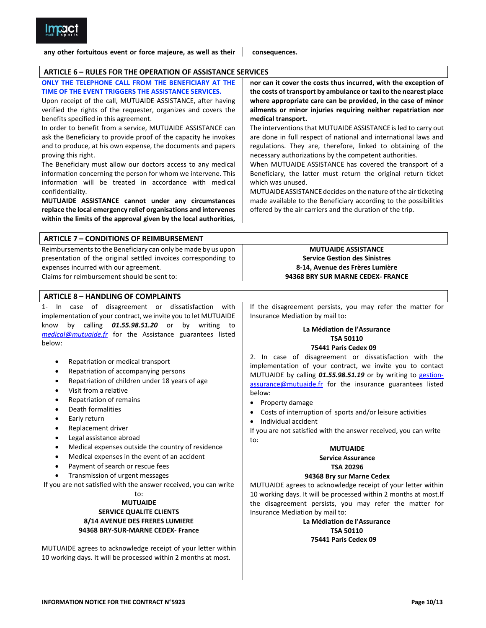

any other fortuitous event or force majeure, as well as their

consequences.

### **ARTICLE 6 - RULES FOR THE OPERATION OF ASSISTANCE SERVICES**

ONLY THE TELEPHONE CALL FROM THE BENEFICIARY AT THE nor can it cover the costs thus incurred, with the exception of TIME OF THE EVENT TRIGGERS THE ASSISTANCE SERVICES. the costs of transport by ambulance or taxi to the nearest place where appropriate care can be provided, in the case of minor Upon receipt of the call, MUTUAIDE ASSISTANCE, after having verified the rights of the requester, organizes and covers the ailments or minor injuries requiring neither repatriation nor benefits specified in this agreement. medical transport. In order to benefit from a service, MUTUAIDE ASSISTANCE can The interventions that MUTUAIDE ASSISTANCE is led to carry out ask the Beneficiary to provide proof of the capacity he invokes are done in full respect of national and international laws and and to produce, at his own expense, the documents and papers regulations. They are, therefore, linked to obtaining of the proving this right. necessary authorizations by the competent authorities. The Beneficiary must allow our doctors access to any medical When MUTUAIDE ASSISTANCE has covered the transport of a information concerning the person for whom we intervene. This Beneficiary, the latter must return the original return ticket information will be treated in accordance with medical which was unused. confidentiality. MUTUAIDE ASSISTANCE decides on the nature of the air ticketing MUTUAIDE ASSISTANCE cannot under any circumstances made available to the Beneficiary according to the possibilities replace the local emergency relief organisations and intervenes offered by the air carriers and the duration of the trip. within the limits of the approval given by the local authorities, **ARTICLE 7 - CONDITIONS OF REIMBURSEMENT** Reimbursements to the Beneficiary can only be made by us upon **MUTUAIDE ASSISTANCE** presentation of the original settled invoices corresponding to **Service Gestion des Sinistres** expenses incurred with our agreement. 8-14, Avenue des Frères Lumière Claims for reimbursement should be sent to: 94368 BRY SUR MARNE CEDEX- FRANCE

## **ARTICLE 8 - HANDLING OF COMPLAINTS**

In case of disagreement or dissatisfaction with  $1$ implementation of your contract, we invite you to let MUTUAIDE know by calling 01.55.98.51.20 or by writing to medical@mutuaide.fr for the Assistance guarantees listed below:

- $\blacksquare$ Repatriation or medical transport
- Repatriation of accompanying persons
- Repatriation of children under 18 years of age
- Visit from a relative
- Repatriation of remains
- Death formalities
- Early return
- Replacement driver
- Legal assistance abroad
- Medical expenses outside the country of residence
- Medical expenses in the event of an accident
- Payment of search or rescue fees
- Transmission of urgent messages

If you are not satisfied with the answer received, you can write to:

## **MUTUAIDE**

## **SERVICE QUALITE CLIENTS 8/14 AVENUE DES FRERES LUMIERE** 94368 BRY-SUR-MARNE CEDEX- France

MUTUAIDE agrees to acknowledge receipt of your letter within 10 working days. It will be processed within 2 months at most.

If the disagreement persists, you may refer the matter for Insurance Mediation by mail to:

# La Médiation de l'Assurance **TSA 50110**

## 75441 Paris Cedex 09

2. In case of disagreement or dissatisfaction with the implementation of your contract, we invite you to contact MUTUAIDE by calling 01.55.98.51.19 or by writing to gestionassurance@mutuaide.fr for the insurance guarantees listed below:

- Property damage
- Costs of interruption of sports and/or leisure activities
- Individual accident

If you are not satisfied with the answer received, you can write to:

## **MUTUAIDE**

#### **Service Assurance TSA 20296**

### 94368 Bry sur Marne Cedex

MUTUAIDE agrees to acknowledge receipt of your letter within 10 working days. It will be processed within 2 months at most. If the disagreement persists, you may refer the matter for Insurance Mediation by mail to:

> La Médiation de l'Assurance **TSA 50110**

## 75441 Paris Cedex 09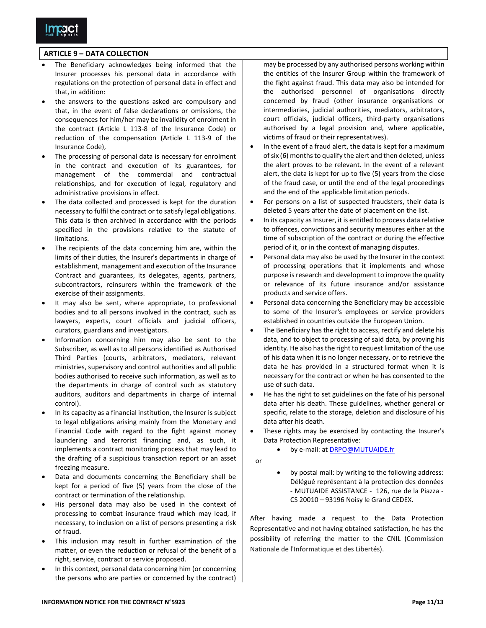

## **ARTICLE 9 - DATA COLLECTION**

- The Beneficiary acknowledges being informed that the Insurer processes his personal data in accordance with regulations on the protection of personal data in effect and that, in addition:
- the answers to the questions asked are compulsory and that, in the event of false declarations or omissions, the consequences for him/her may be invalidity of enrolment in the contract (Article L 113-8 of the Insurance Code) or reduction of the compensation (Article L 113-9 of the Insurance Code),
- The processing of personal data is necessary for enrolment in the contract and execution of its guarantees, for management of the commercial and contractual relationships, and for execution of legal, regulatory and administrative provisions in effect.
- The data collected and processed is kept for the duration necessary to fulfil the contract or to satisfy legal obligations. This data is then archived in accordance with the periods specified in the provisions relative to the statute of limitations
- The recipients of the data concerning him are, within the limits of their duties, the Insurer's departments in charge of establishment, management and execution of the Insurance Contract and guarantees, its delegates, agents, partners, subcontractors, reinsurers within the framework of the exercise of their assignments.
- It may also be sent, where appropriate, to professional bodies and to all persons involved in the contract, such as lawyers, experts, court officials and judicial officers, curators, guardians and investigators.
- Information concerning him may also be sent to the Subscriber, as well as to all persons identified as Authorised Third Parties (courts, arbitrators, mediators, relevant ministries, supervisory and control authorities and all public bodies authorised to receive such information, as well as to the departments in charge of control such as statutory auditors, auditors and departments in charge of internal control).
- In its capacity as a financial institution, the Insurer is subject to legal obligations arising mainly from the Monetary and Financial Code with regard to the fight against money laundering and terrorist financing and, as such, it implements a contract monitoring process that may lead to the drafting of a suspicious transaction report or an asset freezing measure.
- Data and documents concerning the Beneficiary shall be kept for a period of five (5) years from the close of the contract or termination of the relationship.
- His personal data may also be used in the context of processing to combat insurance fraud which may lead, if necessary, to inclusion on a list of persons presenting a risk of fraud
- This inclusion may result in further examination of the matter, or even the reduction or refusal of the benefit of a right, service, contract or service proposed.
- In this context, personal data concerning him (or concerning the persons who are parties or concerned by the contract)

may be processed by any authorised persons working within the entities of the Insurer Group within the framework of the fight against fraud. This data may also be intended for the authorised personnel of organisations directly concerned by fraud (other insurance organisations or intermediaries, judicial authorities, mediators, arbitrators, court officials, judicial officers, third-party organisations authorised by a legal provision and, where applicable, victims of fraud or their representatives).

- In the event of a fraud alert, the data is kept for a maximum of six (6) months to qualify the alert and then deleted, unless the alert proves to be relevant. In the event of a relevant alert, the data is kept for up to five (5) years from the close of the fraud case, or until the end of the legal proceedings and the end of the applicable limitation periods.
- For persons on a list of suspected fraudsters, their data is deleted 5 years after the date of placement on the list.
- In its capacity as Insurer, it is entitled to process data relative to offences, convictions and security measures either at the time of subscription of the contract or during the effective period of it, or in the context of managing disputes.
- Personal data may also be used by the Insurer in the context of processing operations that it implements and whose purpose is research and development to improve the quality or relevance of its future insurance and/or assistance products and service offers.
- Personal data concerning the Beneficiary may be accessible to some of the Insurer's employees or service providers established in countries outside the European Union.
- The Beneficiary has the right to access, rectify and delete his data, and to object to processing of said data, by proving his identity. He also has the right to request limitation of the use of his data when it is no longer necessary, or to retrieve the data he has provided in a structured format when it is necessary for the contract or when he has consented to the use of such data.
- He has the right to set guidelines on the fate of his personal data after his death. These guidelines, whether general or specific, relate to the storage, deletion and disclosure of his data after his death.
- These rights may be exercised by contacting the Insurer's Data Protection Representative:
	- by e-mail: at DRPO@MUTUAIDE.fr
- $\alpha$ r
- by postal mail: by writing to the following address: Délégué représentant à la protection des données - MUTUAIDE ASSISTANCE - 126, rue de la Piazza -CS 20010 - 93196 Noisy le Grand CEDEX.

After having made a request to the Data Protection Representative and not having obtained satisfaction, he has the possibility of referring the matter to the CNIL (Commission Nationale de l'Informatique et des Libertés).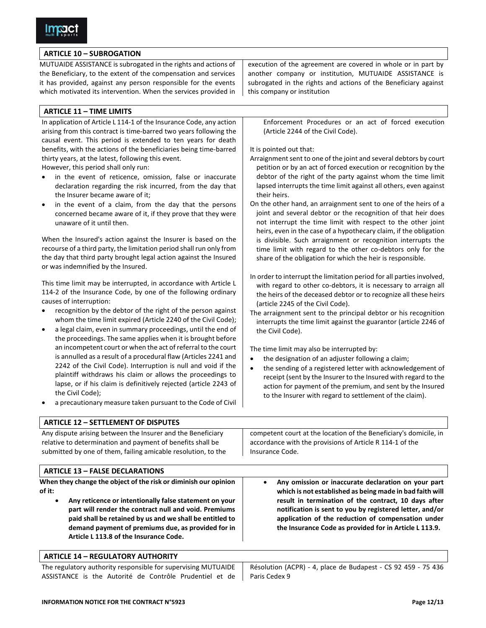## **ARTICLE 10 - SUBROGATION**

MUTUAIDE ASSISTANCE is subrogated in the rights and actions of the Beneficiary, to the extent of the compensation and services it has provided, against any person responsible for the events which motivated its intervention. When the services provided in

## **ARTICLE 11 - TIME LIMITS**

In application of Article L 114-1 of the Insurance Code, any action arising from this contract is time-barred two years following the causal event. This period is extended to ten years for death benefits, with the actions of the beneficiaries being time-barred thirty years, at the latest, following this event.

However, this period shall only run:

- in the event of reticence, omission, false or inaccurate declaration regarding the risk incurred, from the day that the Insurer became aware of it;
- in the event of a claim, from the day that the persons concerned became aware of it, if they prove that they were unaware of it until then.

When the Insured's action against the Insurer is based on the recourse of a third party, the limitation period shall run only from the day that third party brought legal action against the Insured or was indemnified by the Insured.

This time limit may be interrupted, in accordance with Article L 114-2 of the Insurance Code, by one of the following ordinary causes of interruption:

- recognition by the debtor of the right of the person against whom the time limit expired (Article 2240 of the Civil Code);
- a legal claim, even in summary proceedings, until the end of the proceedings. The same applies when it is brought before an incompetent court or when the act of referral to the court is annulled as a result of a procedural flaw (Articles 2241 and 2242 of the Civil Code). Interruption is null and void if the plaintiff withdraws his claim or allows the proceedings to lapse, or if his claim is definitively rejected (article 2243 of the Civil Code);
- a precautionary measure taken pursuant to the Code of Civil

execution of the agreement are covered in whole or in part by another company or institution, MUTUAIDE ASSISTANCE is subrogated in the rights and actions of the Beneficiary against this company or institution

Enforcement Procedures or an act of forced execution (Article 2244 of the Civil Code).

It is pointed out that:

- Arraignment sent to one of the joint and several debtors by court petition or by an act of forced execution or recognition by the debtor of the right of the party against whom the time limit lapsed interrupts the time limit against all others, even against their heirs.
- On the other hand, an arraignment sent to one of the heirs of a joint and several debtor or the recognition of that heir does not interrupt the time limit with respect to the other joint heirs, even in the case of a hypothecary claim, if the obligation is divisible. Such arraignment or recognition interrupts the time limit with regard to the other co-debtors only for the share of the obligation for which the heir is responsible.
- In order to interrupt the limitation period for all parties involved, with regard to other co-debtors, it is necessary to arraign all the heirs of the deceased debtor or to recognize all these heirs (article 2245 of the Civil Code).
- The arraignment sent to the principal debtor or his recognition interrupts the time limit against the guarantor (article 2246 of the Civil Code).

The time limit may also be interrupted by:

- the designation of an adjuster following a claim;
- the sending of a registered letter with acknowledgement of receipt (sent by the Insurer to the Insured with regard to the action for payment of the premium, and sent by the Insured to the Insurer with regard to settlement of the claim).

| <b>ARTICLE 12 - SETTLEMENT OF DISPUTES</b>                                                                                                                                                 |                                                                                                                                                  |
|--------------------------------------------------------------------------------------------------------------------------------------------------------------------------------------------|--------------------------------------------------------------------------------------------------------------------------------------------------|
| Any dispute arising between the Insurer and the Beneficiary<br>relative to determination and payment of benefits shall be<br>submitted by one of them, failing amicable resolution, to the | competent court at the location of the Beneficiary's domicile, in<br>accordance with the provisions of Article R 114-1 of the<br>Insurance Code. |
|                                                                                                                                                                                            |                                                                                                                                                  |

## **ARTICLE 13 - FALSE DECLARATIONS**

When they change the object of the risk or diminish our opinion of it:

- Any reticence or intentionally false statement on your part will render the contract null and void. Premiums paid shall be retained by us and we shall be entitled to demand payment of premiums due, as provided for in Article L 113.8 of the Insurance Code.
- Any omission or inaccurate declaration on your part which is not established as being made in bad faith will result in termination of the contract, 10 days after notification is sent to you by registered letter, and/or application of the reduction of compensation under the Insurance Code as provided for in Article L 113.9.

## **ARTICLE 14 - REGULATORY AUTHORITY**

The regulatory authority responsible for supervising MUTUAIDE ASSISTANCE is the Autorité de Contrôle Prudentiel et de

Résolution (ACPR) - 4, place de Budapest - CS 92 459 - 75 436 Paris Cedex 9